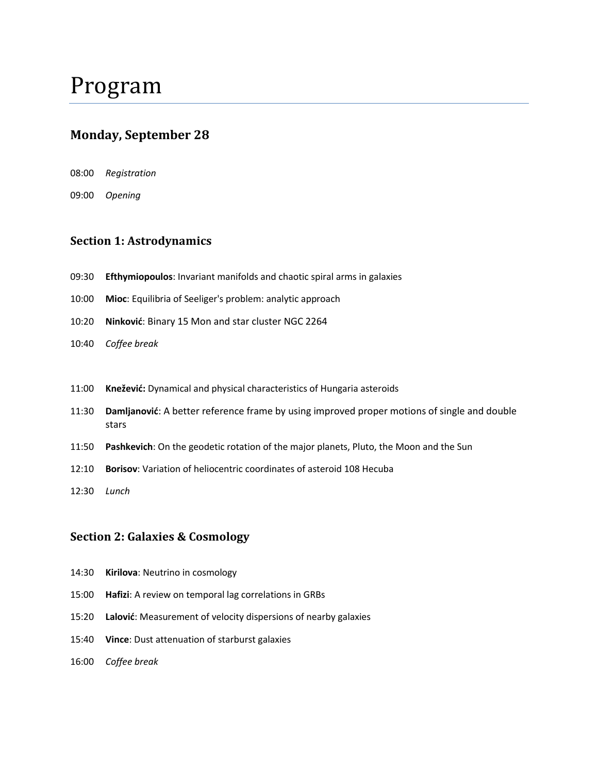# **Monday, September 28**

- 08:00 *Registration*
- 09:00 *Opening*

### **Section 1: Astrodynamics**

- 09:30 **Efthymiopoulos**: Invariant manifolds and chaotic spiral arms in galaxies
- 10:00 **Mioc**: Equilibria of Seeliger's problem: analytic approach
- 10:20 **Ninković**: Binary 15 Mon and star cluster NGC 2264
- 10:40 *Coffee break*
- 11:00 **Knežević:** Dynamical and physical characteristics of Hungaria asteroids
- 11:30 **Damljanović**: A better reference frame by using improved proper motions of single and double stars
- 11:50 **Pashkevich**: On the geodetic rotation of the major planets, Pluto, the Moon and the Sun
- 12:10 **Borisov**: Variation of heliocentric coordinates of asteroid 108 Hecuba
- 12:30 *Lunch*

# **Section 2: Galaxies & Cosmology**

- 14:30 **Kirilova**: Neutrino in cosmology
- 15:00 **Hafizi**: A review on temporal lag correlations in GRBs
- 15:20 **Lalović**: Measurement of velocity dispersions of nearby galaxies
- 15:40 **Vince**: Dust attenuation of starburst galaxies
- 16:00 *Coffee break*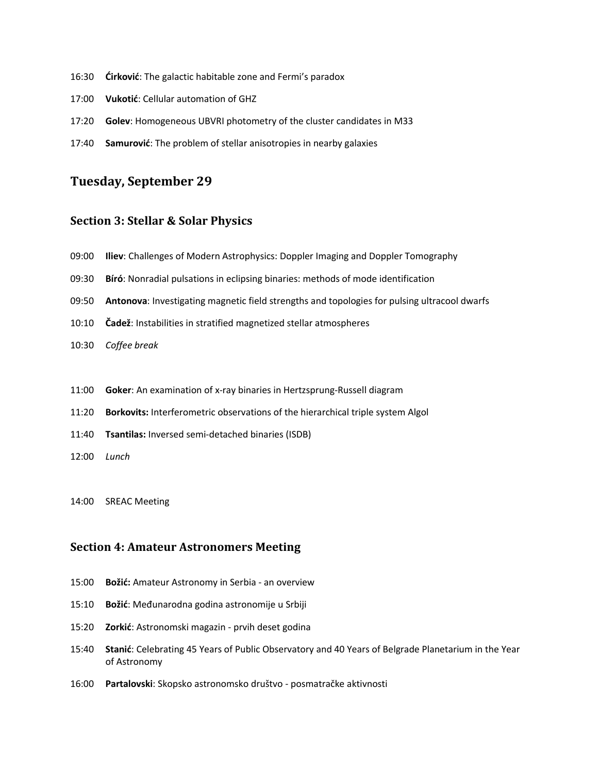- 16:30 **Ćirković**: The galactic habitable zone and Fermi's paradox
- 17:00 **Vukotić**: Cellular automation of GHZ
- 17:20 **Golev**: Homogeneous UBVRI photometry of the cluster candidates in M33
- 17:40 **Samurović**: The problem of stellar anisotropies in nearby galaxies

# **Tuesday, September 29**

#### **Section 3: Stellar & Solar Physics**

- 09:00 **Iliev**: Challenges of Modern Astrophysics: Doppler Imaging and Doppler Tomography
- 09:30 **Bíró**: Nonradial pulsations in eclipsing binaries: methods of mode identification
- 09:50 **Antonova**: Investigating magnetic field strengths and topologies for pulsing ultracool dwarfs
- 10:10 **Čadež**: Instabilities in stratified magnetized stellar atmospheres
- 10:30 *Coffee break*
- 11:00 **Goker**: An examination of x-ray binaries in Hertzsprung-Russell diagram
- 11:20 **Borkovits:** Interferometric observations of the hierarchical triple system Algol
- 11:40 **Tsantilas:** Inversed semi-detached binaries (ISDB)
- 12:00 *Lunch*
- 14:00 SREAC Meeting

#### **Section 4: Amateur Astronomers Meeting**

- 15:00 **Božić:** Amateur Astronomy in Serbia an overview
- 15:10 **Božić**: Međunarodna godina astronomije u Srbiji
- 15:20 **Zorkić**: Astronomski magazin prvih deset godina
- 15:40 **Stanić**: Celebrating 45 Years of Public Observatory and 40 Years of Belgrade Planetarium in the Year of Astronomy
- 16:00 **Partalovski**: Skopsko astronomsko društvo posmatračke aktivnosti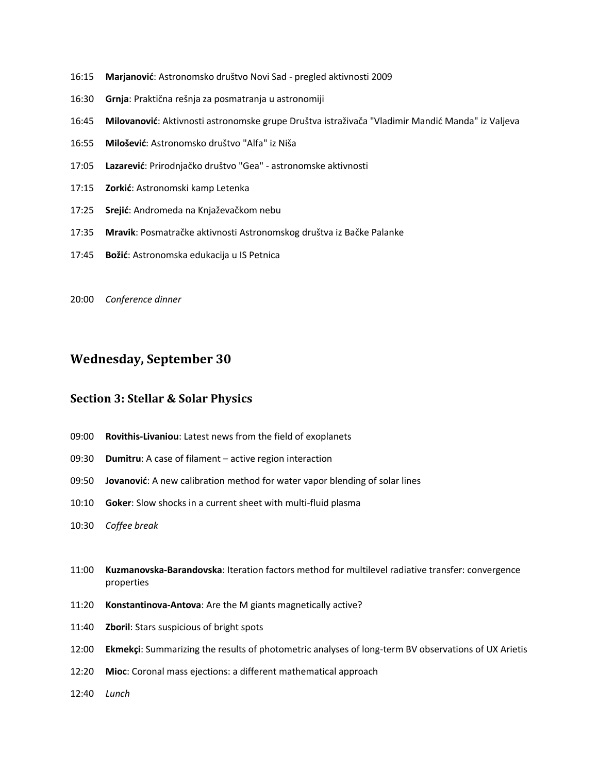- 16:15 **Marjanović**: Astronomsko društvo Novi Sad pregled aktivnosti 2009
- 16:30 **Grnja**: Praktična rešnja za posmatranja u astronomiji
- 16:45 **Milovanović**: Aktivnosti astronomske grupe Društva istraživača "Vladimir Mandid Manda" iz Valjeva
- 16:55 **Milošević**: Astronomsko društvo "Alfa" iz Niša
- 17:05 **Lazarević**: Prirodnjačko društvo "Gea" astronomske aktivnosti
- 17:15 **Zorkić**: Astronomski kamp Letenka
- 17:25 **Srejić**: Andromeda na Knjaževačkom nebu
- 17:35 **Mravik**: Posmatračke aktivnosti Astronomskog društva iz Bačke Palanke
- 17:45 **Božić**: Astronomska edukacija u IS Petnica
- 20:00 *Conference dinner*

# **Wednesday, September 30**

### **Section 3: Stellar & Solar Physics**

- 09:00 **Rovithis-Livaniou**: Latest news from the field of exoplanets
- 09:30 **Dumitru**: A case of filament active region interaction
- 09:50 **Jovanović**: A new calibration method for water vapor blending of solar lines
- 10:10 **Goker**: Slow shocks in a current sheet with multi-fluid plasma
- 10:30 *Coffee break*
- 11:00 **Kuzmanovska-Barandovska**: Iteration factors method for multilevel radiative transfer: convergence properties
- 11:20 **Konstantinova-Antova**: Are the M giants magnetically active?
- 11:40 **Zboril**: Stars suspicious of bright spots
- 12:00 **Ekmekçi**: Summarizing the results of photometric analyses of long-term BV observations of UX Arietis
- 12:20 **Mioc**: Coronal mass ejections: a different mathematical approach
- 12:40 *Lunch*